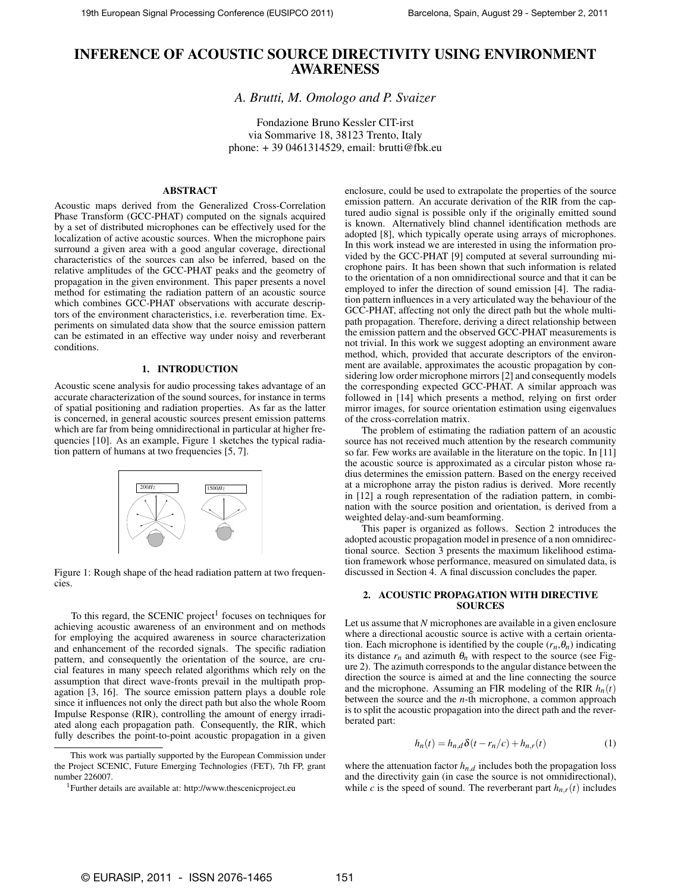# **INFERENCE OF ACOUSTIC SOURCE DIRECTIVITY USING ENVIRONMENT AWARENESS**

*A. Brutti, M. Omologo and P. Svaizer*

Fondazione Bruno Kessler CIT-irst via Sommarive 18, 38123 Trento, Italy phone: + 39 0461314529, email: brutti@fbk.eu

# **ABSTRACT**

Acoustic maps derived from the Generalized Cross-Correlation Phase Transform (GCC-PHAT) computed on the signals acquired by a set of distributed microphones can be effectively used for the localization of active acoustic sources. When the microphone pairs surround a given area with a good angular coverage, directional characteristics of the sources can also be inferred, based on the relative amplitudes of the GCC-PHAT peaks and the geometry of propagation in the given environment. This paper presents a novel method for estimating the radiation pattern of an acoustic source which combines GCC-PHAT observations with accurate descriptors of the environment characteristics, i.e. reverberation time. Experiments on simulated data show that the source emission pattern can be estimated in an effective way under noisy and reverberant conditions.

# **1. INTRODUCTION**

Acoustic scene analysis for audio processing takes advantage of an accurate characterization of the sound sources, for instance in terms of spatial positioning and radiation properties. As far as the latter is concerned, in general acoustic sources present emission patterns which are far from being omnidirectional in particular at higher frequencies [10]. As an example, Figure 1 sketches the typical radiation pattern of humans at two frequencies [5, 7].



Figure 1: Rough shape of the head radiation pattern at two frequencies.

To this regard, the SCENIC project<sup>1</sup> focuses on techniques for achieving acoustic awareness of an environment and on methods for employing the acquired awareness in source characterization and enhancement of the recorded signals. The specific radiation pattern, and consequently the orientation of the source, are crucial features in many speech related algorithms which rely on the assumption that direct wave-fronts prevail in the multipath propagation [3, 16]. The source emission pattern plays a double role since it influences not only the direct path but also the whole Room Impulse Response (RIR), controlling the amount of energy irradiated along each propagation path. Consequently, the RIR, which fully describes the point-to-point acoustic propagation in a given enclosure, could be used to extrapolate the properties of the source emission pattern. An accurate derivation of the RIR from the captured audio signal is possible only if the originally emitted sound is known. Alternatively blind channel identification methods are adopted [8], which typically operate using arrays of microphones. In this work instead we are interested in using the information provided by the GCC-PHAT [9] computed at several surrounding microphone pairs. It has been shown that such information is related to the orientation of a non omnidirectional source and that it can be employed to infer the direction of sound emission [4]. The radiation pattern influences in a very articulated way the behaviour of the GCC-PHAT, affecting not only the direct path but the whole multipath propagation. Therefore, deriving a direct relationship between the emission pattern and the observed GCC-PHAT measurements is not trivial. In this work we suggest adopting an environment aware method, which, provided that accurate descriptors of the environment are available, approximates the acoustic propagation by considering low order microphone mirrors [2] and consequently models the corresponding expected GCC-PHAT. A similar approach was followed in [14] which presents a method, relying on first order mirror images, for source orientation estimation using eigenvalues of the cross-correlation matrix.

The problem of estimating the radiation pattern of an acoustic source has not received much attention by the research community so far. Few works are available in the literature on the topic. In [11] the acoustic source is approximated as a circular piston whose radius determines the emission pattern. Based on the energy received at a microphone array the piston radius is derived. More recently in [12] a rough representation of the radiation pattern, in combination with the source position and orientation, is derived from a weighted delay-and-sum beamforming.

This paper is organized as follows. Section 2 introduces the adopted acoustic propagation model in presence of a non omnidirectional source. Section 3 presents the maximum likelihood estimation framework whose performance, measured on simulated data, is discussed in Section 4. A final discussion concludes the paper.

# **2. ACOUSTIC PROPAGATION WITH DIRECTIVE SOURCES**

Let us assume that *N* microphones are available in a given enclosure where a directional acoustic source is active with a certain orientation. Each microphone is identified by the couple  $(r_n, \theta_n)$  indicating its distance  $r_n$  and azimuth  $\theta_n$  with respect to the source (see Figure 2). The azimuth corresponds to the angular distance between the direction the source is aimed at and the line connecting the source and the microphone. Assuming an FIR modeling of the RIR *hn*(*t*) between the source and the *n*-th microphone, a common approach is to split the acoustic propagation into the direct path and the reverberated part:

$$
h_n(t) = h_{n,d} \delta(t - r_n/c) + h_{n,r}(t)
$$
\n(1)

where the attenuation factor  $h_{n,d}$  includes both the propagation loss and the directivity gain (in case the source is not omnidirectional), while *c* is the speed of sound. The reverberant part  $h_{n,r}(t)$  includes

This work was partially supported by the European Commission under the Project SCENIC, Future Emerging Technologies (FET), 7th FP, grant number 226007.

<sup>1</sup>Further details are available at: http://www.thescenicproject.eu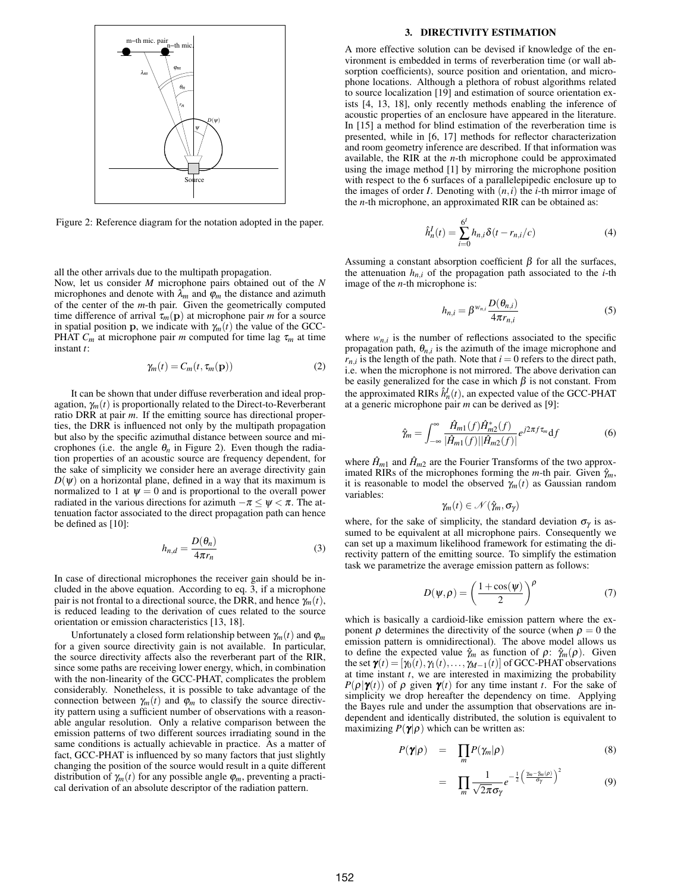

Figure 2: Reference diagram for the notation adopted in the paper.

all the other arrivals due to the multipath propagation.

Now, let us consider *M* microphone pairs obtained out of the *N* microphones and denote with  $\lambda_m$  and  $\varphi_m$  the distance and azimuth of the center of the *m*-th pair. Given the geometrically computed time difference of arrival  $\tau_m(\mathbf{p})$  at microphone pair *m* for a source in spatial position **p**, we indicate with  $\gamma_m(t)$  the value of the GCC-**PHAT**  $C_m$  at microphone pair *m* computed for time lag  $\tau_m$  at time instant *t*:

$$
\gamma_m(t) = C_m(t, \tau_m(\mathbf{p})) \tag{2}
$$

It can be shown that under diffuse reverberation and ideal propagation,  $\gamma_m(t)$  is proportionally related to the Direct-to-Reverberant ratio DRR at pair *m*. If the emitting source has directional properties, the DRR is influenced not only by the multipath propagation but also by the specific azimuthal distance between source and microphones (i.e. the angle  $\theta_n$  in Figure 2). Even though the radiation properties of an acoustic source are frequency dependent, for the sake of simplicity we consider here an average directivity gain  $D(\psi)$  on a horizontal plane, defined in a way that its maximum is normalized to 1 at  $\psi = 0$  and is proportional to the overall power radiated in the various directions for azimuth  $-\pi \leq \psi < \pi$ . The attenuation factor associated to the direct propagation path can hence be defined as [10]:

$$
h_{n,d} = \frac{D(\theta_n)}{4\pi r_n} \tag{3}
$$

In case of directional microphones the receiver gain should be included in the above equation. According to eq. 3, if a microphone pair is not frontal to a directional source, the DRR, and hence  $\gamma_m(t)$ , is reduced leading to the derivation of cues related to the source orientation or emission characteristics [13, 18].

Unfortunately a closed form relationship between  $\gamma_m(t)$  and  $\varphi_m$ for a given source directivity gain is not available. In particular, the source directivity affects also the reverberant part of the RIR, since some paths are receiving lower energy, which, in combination with the non-linearity of the GCC-PHAT, complicates the problem considerably. Nonetheless, it is possible to take advantage of the connection between  $\gamma_m(t)$  and  $\varphi_m$  to classify the source directivity pattern using a sufficient number of observations with a reasonable angular resolution. Only a relative comparison between the emission patterns of two different sources irradiating sound in the same conditions is actually achievable in practice. As a matter of fact, GCC-PHAT is influenced by so many factors that just slightly changing the position of the source would result in a quite different distribution of  $\gamma_m(t)$  for any possible angle  $\varphi_m$ , preventing a practical derivation of an absolute descriptor of the radiation pattern.

#### **3. DIRECTIVITY ESTIMATION**

A more effective solution can be devised if knowledge of the environment is embedded in terms of reverberation time (or wall absorption coefficients), source position and orientation, and microphone locations. Although a plethora of robust algorithms related to source localization [19] and estimation of source orientation exists [4, 13, 18], only recently methods enabling the inference of acoustic properties of an enclosure have appeared in the literature. In [15] a method for blind estimation of the reverberation time is presented, while in [6, 17] methods for reflector characterization and room geometry inference are described. If that information was available, the RIR at the *n*-th microphone could be approximated using the image method [1] by mirroring the microphone position with respect to the 6 surfaces of a parallelepipedic enclosure up to the images of order *I*. Denoting with  $(n, i)$  the *i*-th mirror image of the *n*-th microphone, an approximated RIR can be obtained as:

$$
\hat{h}_n^I(t) = \sum_{i=0}^{6^I} h_{n,i} \delta(t - r_{n,i}/c)
$$
\n(4)

Assuming a constant absorption coefficient  $\beta$  for all the surfaces, the attenuation  $h_{n,i}$  of the propagation path associated to the *i*-th image of the *n*-th microphone is:

$$
h_{n,i} = \beta^{w_{n,i}} \frac{D(\theta_{n,i})}{4\pi r_{n,i}} \tag{5}
$$

where  $w_{n,i}$  is the number of reflections associated to the specific propagation path,  $\theta_{n,i}$  is the azimuth of the image microphone and  $r_{n,i}$  is the length of the path. Note that  $i = 0$  refers to the direct path, i.e. when the microphone is not mirrored. The above derivation can be easily generalized for the case in which  $\beta$  is not constant. From the approximated RIRs  $\hat{h}_n^I(t)$ , an expected value of the GCC-PHAT at a generic microphone pair *m* can be derived as [9]:

$$
\hat{\gamma}_m = \int_{-\infty}^{\infty} \frac{\hat{H}_{m1}(f)\hat{H}_{m2}^*(f)}{|\hat{H}_{m1}(f)||\hat{H}_{m2}(f)|} e^{j2\pi f \tau_m} \mathrm{d}f \tag{6}
$$

where  $\hat{H}_{m1}$  and  $\hat{H}_{m2}$  are the Fourier Transforms of the two approximated RIRs of the microphones forming the *m*-th pair. Given  $\hat{\gamma}_m$ , it is reasonable to model the observed  $\gamma_m(t)$  as Gaussian random variables:

$$
\gamma_m(t) \in \mathcal{N}(\hat{\gamma}_m, \sigma_\gamma)
$$

where, for the sake of simplicity, the standard deviation  $\sigma_{\gamma}$  is assumed to be equivalent at all microphone pairs. Consequently we can set up a maximum likelihood framework for estimating the directivity pattern of the emitting source. To simplify the estimation task we parametrize the average emission pattern as follows:

$$
D(\psi,\rho) = \left(\frac{1+\cos(\psi)}{2}\right)^{\rho} \tag{7}
$$

which is basically a cardioid-like emission pattern where the exponent  $\rho$  determines the directivity of the source (when  $\rho = 0$  the emission pattern is omnidirectional). The above model allows us to define the expected value  $\hat{\gamma}_m$  as function of  $\rho$ :  $\hat{\gamma}_m(\rho)$ . Given the set  $\mathbf{\gamma}(t) = [\gamma_0(t), \gamma_1(t), \dots, \gamma_{M-1}(t)]$  of GCC-PHAT observations at time instant *t*, we are interested in maximizing the probability *P*( $\rho$ | $\gamma(t)$ ) of  $\rho$  given  $\gamma(t)$  for any time instant *t*. For the sake of simplicity we drop hereafter the dependency on time. Applying the Bayes rule and under the assumption that observations are independent and identically distributed, the solution is equivalent to maximizing  $P(\gamma|\rho)$  which can be written as:

$$
P(\pmb{\gamma}|\rho) = \prod_{m} P(\gamma_m|\rho) \tag{8}
$$

$$
= \prod_{m} \frac{1}{\sqrt{2\pi}\sigma_{\gamma}} e^{-\frac{1}{2} \left( \frac{\gamma_{m} - \hat{\gamma}_{m}(\rho)}{\sigma_{\gamma}} \right)^2}
$$
(9)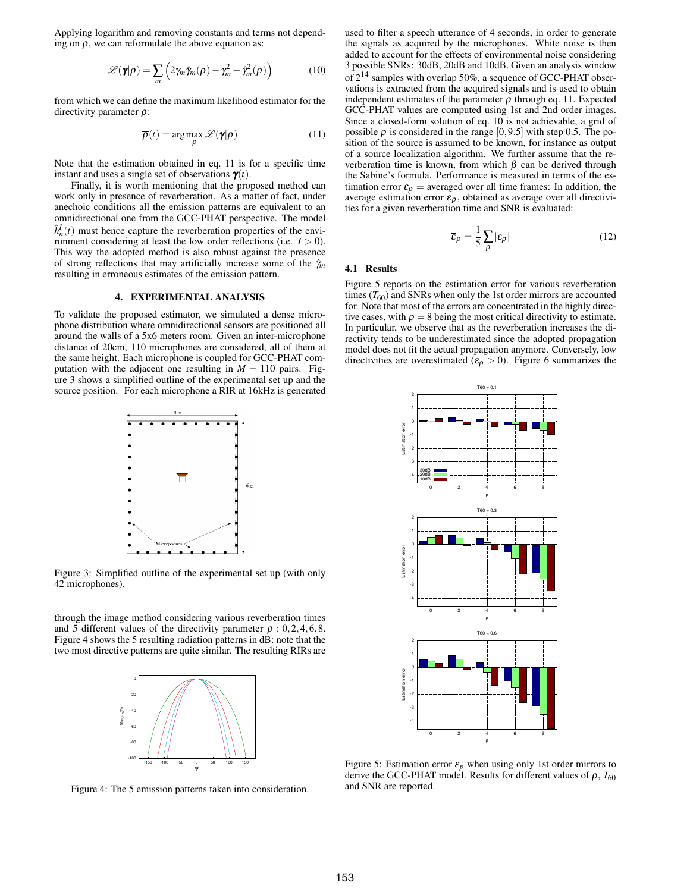Applying logarithm and removing constants and terms not depending on  $\rho$ , we can reformulate the above equation as:

$$
\mathscr{L}(\mathbf{\gamma}|\rho) = \sum_{m} \left( 2\gamma_m \hat{\gamma}_m(\rho) - \gamma_m^2 - \hat{\gamma}_m^2(\rho) \right) \tag{10}
$$

from which we can define the maximum likelihood estimator for the directivity parameter  $\rho$ :

$$
\overline{\rho}(t) = \arg\max_{\rho} \mathcal{L}(\gamma|\rho)
$$
 (11)

Note that the estimation obtained in eq. 11 is for a specific time instant and uses a single set of observations  $\gamma(t)$ .

Finally, it is worth mentioning that the proposed method can work only in presence of reverberation. As a matter of fact, under anechoic conditions all the emission patterns are equivalent to an omnidirectional one from the GCC-PHAT perspective. The model  $\hat{h}^I_n(t)$  must hence capture the reverberation properties of the environment considering at least the low order reflections (i.e.  $I > 0$ ). This way the adopted method is also robust against the presence of strong reflections that may artificially increase some of the <sup>γ</sup>ˆ*<sup>m</sup>* resulting in erroneous estimates of the emission pattern.

# **4. EXPERIMENTAL ANALYSIS**

To validate the proposed estimator, we simulated a dense microphone distribution where omnidirectional sensors are positioned all around the walls of a 5x6 meters room. Given an inter-microphone distance of 20cm, 110 microphones are considered, all of them at the same height. Each microphone is coupled for GCC-PHAT computation with the adjacent one resulting in  $M = 110$  pairs. Figure 3 shows a simplified outline of the experimental set up and the source position. For each microphone a RIR at 16kHz is generated



Figure 3: Simplified outline of the experimental set up (with only 42 microphones).

through the image method considering various reverberation times and 5 different values of the directivity parameter  $\rho$  : 0, 2, 4, 6, 8. Figure 4 shows the 5 resulting radiation patterns in dB: note that the two most directive patterns are quite similar. The resulting RIRs are



Figure 4: The 5 emission patterns taken into consideration.

used to filter a speech utterance of 4 seconds, in order to generate the signals as acquired by the microphones. White noise is then added to account for the effects of environmental noise considering 3 possible SNRs: 30dB, 20dB and 10dB. Given an analysis window of  $2^{14}$  samples with overlap 50%, a sequence of GCC-PHAT observations is extracted from the acquired signals and is used to obtain independent estimates of the parameter  $\rho$  through eq. 11. Expected GCC-PHAT values are computed using 1st and 2nd order images. Since a closed-form solution of eq. 10 is not achievable, a grid of possible  $\rho$  is considered in the range  $[0,9.5]$  with step 0.5. The position of the source is assumed to be known, for instance as output of a source localization algorithm. We further assume that the reverberation time is known, from which  $β$  can be derived through the Sabine's formula. Performance is measured in terms of the estimation error  $\varepsilon_{\rho}$  = averaged over all time frames: In addition, the average estimation error  $\bar{\varepsilon}_{\rho}$ , obtained as average over all directivities for a given reverberation time and SNR is evaluated:

$$
\overline{\varepsilon}_{\rho} = \frac{1}{5} \sum_{\rho} |\varepsilon_{\rho}| \tag{12}
$$

#### **4.1 Results**

Figure 5 reports on the estimation error for various reverberation times  $(T_{60})$  and SNRs when only the 1st order mirrors are accounted for. Note that most of the errors are concentrated in the highly directive cases, with  $\rho = 8$  being the most critical directivity to estimate. In particular, we observe that as the reverberation increases the directivity tends to be underestimated since the adopted propagation model does not fit the actual propagation anymore. Conversely, low directivities are overestimated ( $\varepsilon_{\rho} > 0$ ). Figure 6 summarizes the



Figure 5: Estimation error  $\varepsilon_p$  when using only 1st order mirrors to derive the GCC-PHAT model. Results for different values of  $\rho$ ,  $T_{60}$ and SNR are reported.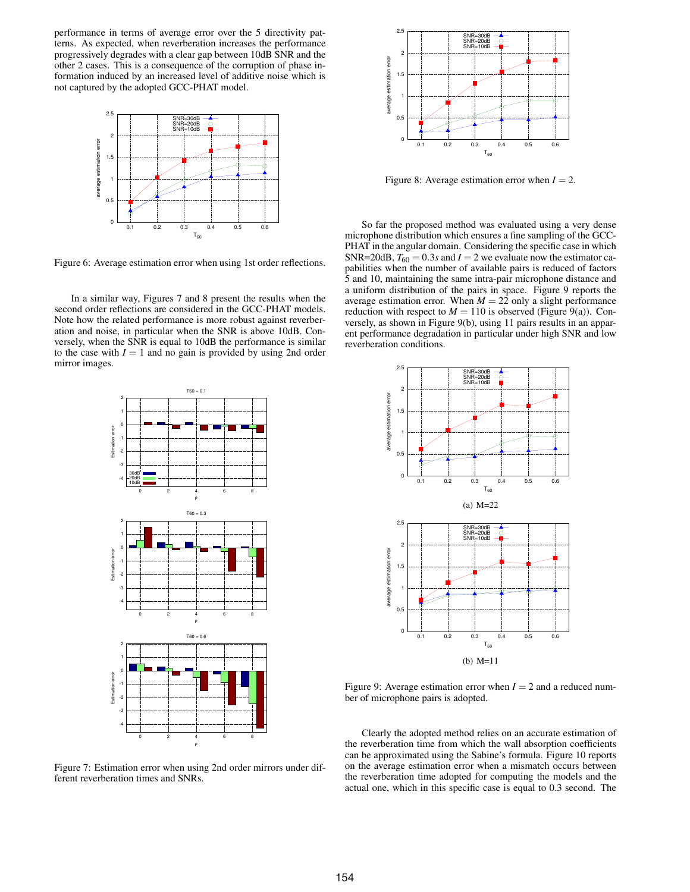performance in terms of average error over the 5 directivity patterns. As expected, when reverberation increases the performance progressively degrades with a clear gap between 10dB SNR and the other 2 cases. This is a consequence of the corruption of phase information induced by an increased level of additive noise which is not captured by the adopted GCC-PHAT model.



Figure 6: Average estimation error when using 1st order reflections.

In a similar way, Figures 7 and 8 present the results when the second order reflections are considered in the GCC-PHAT models. Note how the related performance is more robust against reverberation and noise, in particular when the SNR is above 10dB. Conversely, when the SNR is equal to 10dB the performance is similar to the case with  $I = 1$  and no gain is provided by using 2nd order mirror images.



Figure 7: Estimation error when using 2nd order mirrors under different reverberation times and SNRs.



Figure 8: Average estimation error when  $I = 2$ .

So far the proposed method was evaluated using a very dense microphone distribution which ensures a fine sampling of the GCC-PHAT in the angular domain. Considering the specific case in which SNR=20dB,  $T_{60} = 0.3s$  and  $I = 2$  we evaluate now the estimator capabilities when the number of available pairs is reduced of factors 5 and 10, maintaining the same intra-pair microphone distance and a uniform distribution of the pairs in space. Figure 9 reports the average estimation error. When  $M = 22$  only a slight performance reduction with respect to  $M = 110$  is observed (Figure 9(a)). Conversely, as shown in Figure 9(b), using 11 pairs results in an apparent performance degradation in particular under high SNR and low reverberation conditions.



Figure 9: Average estimation error when  $I = 2$  and a reduced number of microphone pairs is adopted.

Clearly the adopted method relies on an accurate estimation of the reverberation time from which the wall absorption coefficients can be approximated using the Sabine's formula. Figure 10 reports on the average estimation error when a mismatch occurs between the reverberation time adopted for computing the models and the actual one, which in this specific case is equal to 0.3 second. The